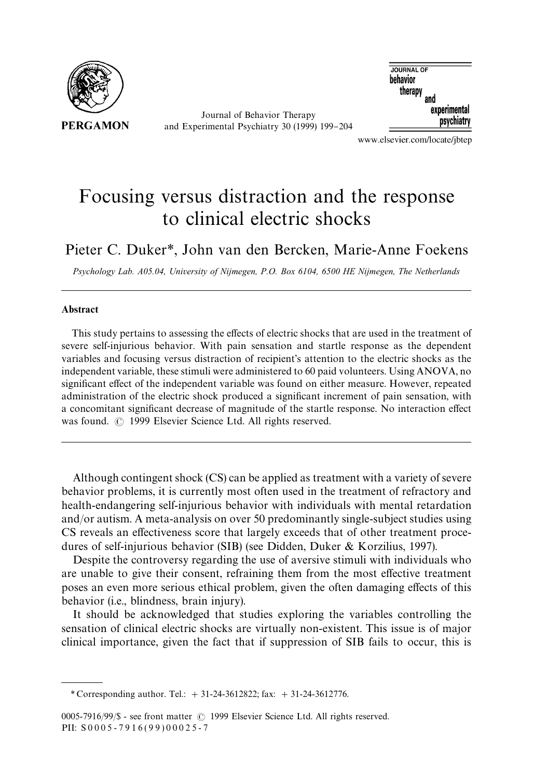

Journal of Behavior Therapy and Experimental Psychiatry 30 (1999) 199-204



www.elsevier.com/locate/jbtep

## Focusing versus distraction and the response to clinical electric shocks

Pieter C. Duker*\**, John van den Bercken, Marie-Anne Foekens

*Psychology Lab. A05.04, University of Nijmegen, P.O. Box 6104, 6500 HE Nijmegen, The Netherlands*

#### Abstract

This study pertains to assessing the effects of electric shocks that are used in the treatment of severe self-injurious behavior. With pain sensation and startle response as the dependent variables and focusing versus distraction of recipient's attention to the electric shocks as the independent variable, these stimuli were administered to 60 paid volunteers. Using ANOVA, no significant effect of the independent variable was found on either measure. However, repeated administration of the electric shock produced a significant increment of pain sensation, with a concomitant significant decrease of magnitude of the startle response. No interaction effect was found.  $\odot$  1999 Elsevier Science Ltd. All rights reserved.

Although contingent shock (CS) can be applied as treatment with a variety of severe behavior problems, it is currently most often used in the treatment of refractory and health-endangering self-injurious behavior with individuals with mental retardation and/or autism. A meta-analysis on over 50 predominantly single-subject studies using CS reveals an effectiveness score that largely exceeds that of other treatment procedures of self-injurious behavior (SIB) (see Didden, Duker & Korzilius, 1997).

Despite the controversy regarding the use of aversive stimuli with individuals who are unable to give their consent, refraining them from the most effective treatment poses an even more serious ethical problem, given the often damaging effects of this behavior (i.e., blindness, brain injury).

It should be acknowledged that studies exploring the variables controlling the sensation of clinical electric shocks are virtually non-existent. This issue is of major clinical importance, given the fact that if suppression of SIB fails to occur, this is

*<sup>\*</sup>* Corresponding author. Tel.: #31-24-3612822; fax: #31-24-3612776.

<sup>0005-7916/99/\$ -</sup> see front matter © 1999 Elsevier Science Ltd. All rights reserved. PII:  $S0005 - 7916(99)00025 - 7$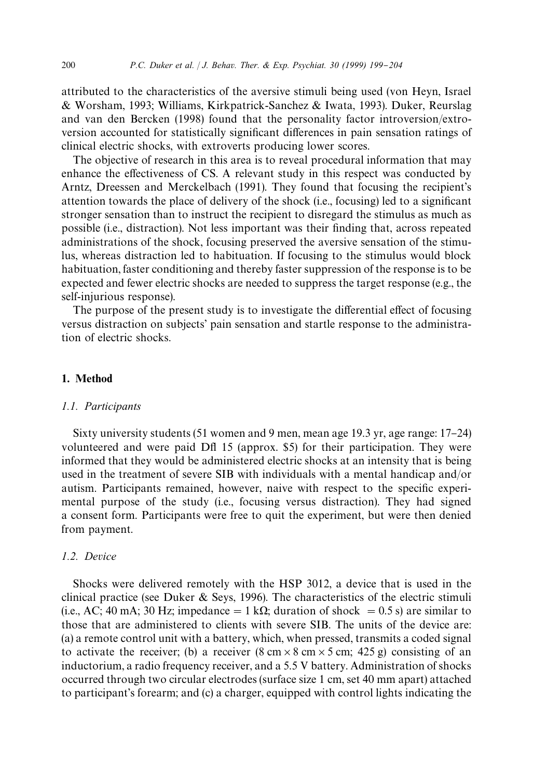attributed to the characteristics of the aversive stimuli being used (von Heyn, Israel & Worsham, 1993; Williams, Kirkpatrick-Sanchez & Iwata, 1993). Duker, Reurslag and van den Bercken (1998) found that the personality factor introversion/extroversion accounted for statistically significant differences in pain sensation ratings of clinical electric shocks, with extroverts producing lower scores.

The objective of research in this area is to reveal procedural information that may enhance the effectiveness of CS. A relevant study in this respect was conducted by Arntz, Dreessen and Merckelbach (1991). They found that focusing the recipient's attention towards the place of delivery of the shock (i.e., focusing) led to a significant stronger sensation than to instruct the recipient to disregard the stimulus as much as possible (i.e., distraction). Not less important was their "nding that, across repeated administrations of the shock, focusing preserved the aversive sensation of the stimulus, whereas distraction led to habituation. If focusing to the stimulus would block habituation, faster conditioning and thereby faster suppression of the response is to be expected and fewer electric shocks are needed to suppress the target response (e.g., the self-injurious response).

The purpose of the present study is to investigate the differential effect of focusing versus distraction on subjects' pain sensation and startle response to the administration of electric shocks.

## 1. Method

#### *1.1. Participants*

Sixty university students  $(51$  women and 9 men, mean age 19.3 yr, age range:  $17-24$ ) volunteered and were paid Dfl 15 (approx. \$5) for their participation. They were informed that they would be administered electric shocks at an intensity that is being used in the treatment of severe SIB with individuals with a mental handicap and/or autism. Participants remained, however, naive with respect to the specific experimental purpose of the study (i.e., focusing versus distraction). They had signed a consent form. Participants were free to quit the experiment, but were then denied from payment.

### *1.2. Device*

Shocks were delivered remotely with the HSP 3012, a device that is used in the clinical practice (see Duker  $\&$  Seys, 1996). The characteristics of the electric stimuli (i.e., AC; 40 mA; 30 Hz; impedance  $= 1 \text{ k}\Omega$ ; duration of shock  $= 0.5 \text{ s}$ ) are similar to those that are administered to clients with severe SIB. The units of the device are: (a) a remote control unit with a battery, which, when pressed, transmits a coded signal to activate the receiver; (b) a receiver  $(8 \text{ cm} \times 8 \text{ cm} \times 5 \text{ cm}; 425 \text{ g})$  consisting of an inductorium, a radio frequency receiver, and a 5.5 V battery. Administration of shocks occurred through two circular electrodes (surface size 1 cm, set 40 mm apart) attached to participant's forearm; and (c) a charger, equipped with control lights indicating the